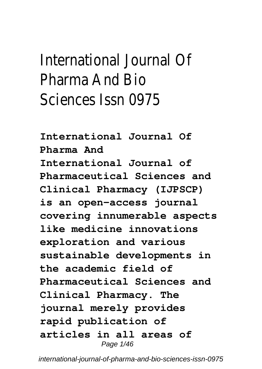# International Journal Of Pharma And Bio Sciences Issn 0975

**International Journal Of Pharma And International Journal of Pharmaceutical Sciences and Clinical Pharmacy (IJPSCP) is an open-access journal covering innumerable aspects like medicine innovations exploration and various sustainable developments in the academic field of Pharmaceutical Sciences and Clinical Pharmacy. The journal merely provides rapid publication of articles in all areas of** Page 1/46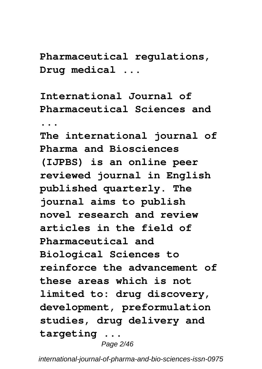**Pharmaceutical regulations, Drug medical ...**

**International Journal of Pharmaceutical Sciences and ... The international journal of Pharma and Biosciences (IJPBS) is an online peer reviewed journal in English published quarterly. The journal aims to publish novel research and review articles in the field of Pharmaceutical and Biological Sciences to reinforce the advancement of these areas which is not limited to: drug discovery, development, preformulation studies, drug delivery and targeting ...**

Page 2/46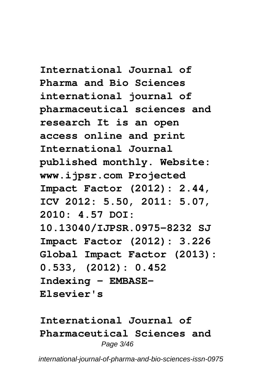**International Journal of Pharma and Bio Sciences international journal of pharmaceutical sciences and research It is an open access online and print International Journal published monthly. Website: www.ijpsr.com Projected Impact Factor (2012): 2.44, ICV 2012: 5.50, 2011: 5.07, 2010: 4.57 DOI: 10.13040/IJPSR.0975-8232 SJ Impact Factor (2012): 3.226 Global Impact Factor (2013): 0.533, (2012): 0.452 Indexing - EMBASE-Elsevier's**

**International Journal of Pharmaceutical Sciences and** Page 3/46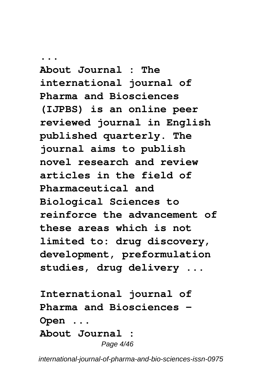**... About Journal : The international journal of Pharma and Biosciences (IJPBS) is an online peer reviewed journal in English published quarterly. The journal aims to publish novel research and review articles in the field of Pharmaceutical and Biological Sciences to reinforce the advancement of these areas which is not limited to: drug discovery, development, preformulation studies, drug delivery ...**

**International journal of Pharma and Biosciences - Open ... About Journal :** Page 4/46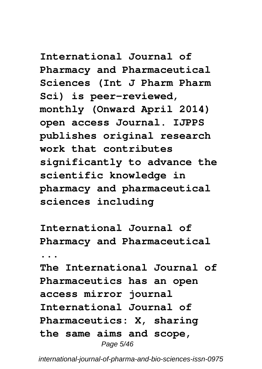**International Journal of Pharmacy and Pharmaceutical Sciences (Int J Pharm Pharm Sci) is peer-reviewed, monthly (Onward April 2014) open access Journal. IJPPS publishes original research work that contributes significantly to advance the scientific knowledge in pharmacy and pharmaceutical sciences including**

**International Journal of Pharmacy and Pharmaceutical**

**...**

**The International Journal of Pharmaceutics has an open access mirror journal International Journal of Pharmaceutics: X, sharing the same aims and scope,** Page 5/46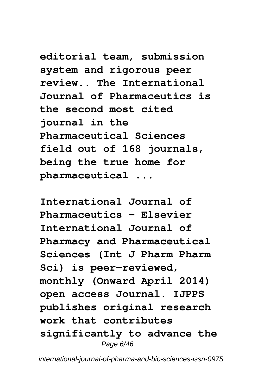**editorial team, submission system and rigorous peer review.. The International Journal of Pharmaceutics is the second most cited journal in the Pharmaceutical Sciences field out of 168 journals, being the true home for pharmaceutical ...**

**International Journal of Pharmaceutics - Elsevier International Journal of Pharmacy and Pharmaceutical Sciences (Int J Pharm Pharm Sci) is peer-reviewed, monthly (Onward April 2014) open access Journal. IJPPS publishes original research work that contributes significantly to advance the** Page 6/46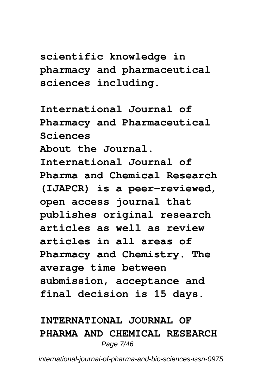**scientific knowledge in pharmacy and pharmaceutical sciences including.**

**International Journal of Pharmacy and Pharmaceutical Sciences About the Journal. International Journal of Pharma and Chemical Research (IJAPCR) is a peer-reviewed, open access journal that publishes original research articles as well as review articles in all areas of Pharmacy and Chemistry. The average time between submission, acceptance and final decision is 15 days.**

### **INTERNATIONAL JOURNAL OF PHARMA AND CHEMICAL RESEARCH** Page 7/46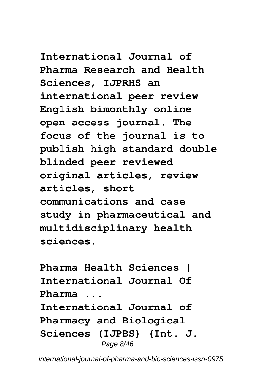**International Journal of Pharma Research and Health Sciences, IJPRHS an international peer review English bimonthly online open access journal. The focus of the journal is to publish high standard double blinded peer reviewed original articles, review articles, short communications and case study in pharmaceutical and multidisciplinary health sciences.**

**Pharma Health Sciences | International Journal Of Pharma ... International Journal of Pharmacy and Biological Sciences (IJPBS) (Int. J.** Page 8/46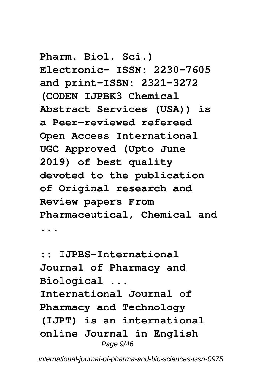**Pharm. Biol. Sci.) Electronic- ISSN: 2230-7605 and print-ISSN: 2321-3272 (CODEN IJPBK3 Chemical Abstract Services (USA)) is a Peer-reviewed refereed Open Access International UGC Approved (Upto June 2019) of best quality devoted to the publication of Original research and Review papers From Pharmaceutical, Chemical and ...**

**:: IJPBS-International Journal of Pharmacy and Biological ... International Journal of Pharmacy and Technology (IJPT) is an international online Journal in English** Page  $9/46$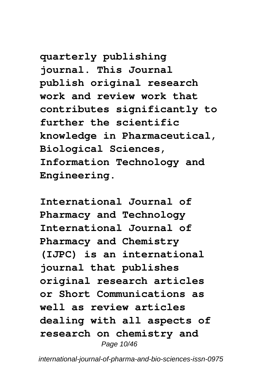**quarterly publishing journal. This Journal publish original research work and review work that contributes significantly to further the scientific knowledge in Pharmaceutical, Biological Sciences, Information Technology and Engineering.**

**International Journal of Pharmacy and Technology International Journal of Pharmacy and Chemistry (IJPC) is an international journal that publishes original research articles or Short Communications as well as review articles dealing with all aspects of research on chemistry and** Page 10/46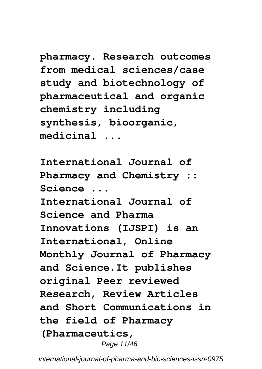**pharmacy. Research outcomes from medical sciences/case study and biotechnology of pharmaceutical and organic chemistry including synthesis, bioorganic, medicinal ...**

**International Journal of Pharmacy and Chemistry :: Science ... International Journal of Science and Pharma Innovations (IJSPI) is an International, Online Monthly Journal of Pharmacy and Science.It publishes original Peer reviewed Research, Review Articles and Short Communications in the field of Pharmacy (Pharmaceutics,** Page 11/46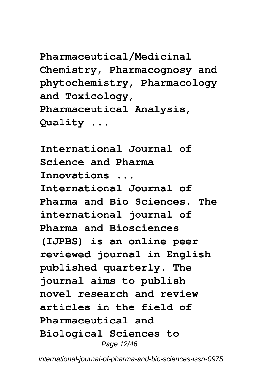**Pharmaceutical/Medicinal Chemistry, Pharmacognosy and phytochemistry, Pharmacology and Toxicology, Pharmaceutical Analysis, Quality ...**

**International Journal of Science and Pharma Innovations ... International Journal of Pharma and Bio Sciences. The international journal of Pharma and Biosciences (IJPBS) is an online peer reviewed journal in English published quarterly. The journal aims to publish novel research and review articles in the field of Pharmaceutical and Biological Sciences to** Page 12/46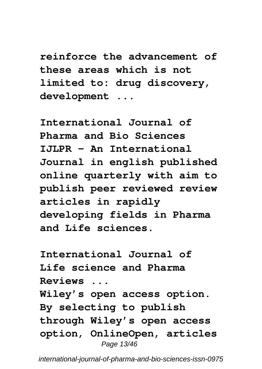**reinforce the advancement of these areas which is not limited to: drug discovery, development ...**

**International Journal of Pharma and Bio Sciences IJLPR - An International Journal in english published online quarterly with aim to publish peer reviewed review articles in rapidly developing fields in Pharma and Life sciences.**

**International Journal of Life science and Pharma Reviews ... Wiley's open access option. By selecting to publish through Wiley's open access option, OnlineOpen, articles** Page 13/46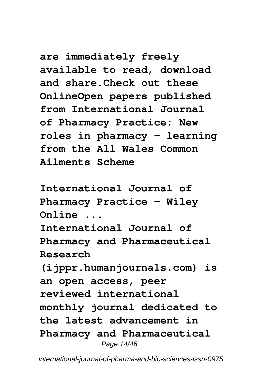**are immediately freely available to read, download and share.Check out these OnlineOpen papers published from International Journal of Pharmacy Practice: New roles in pharmacy – learning from the All Wales Common Ailments Scheme**

**International Journal of Pharmacy Practice - Wiley Online ... International Journal of Pharmacy and Pharmaceutical Research (ijppr.humanjournals.com) is an open access, peer reviewed international monthly journal dedicated to the latest advancement in Pharmacy and Pharmaceutical** Page 14/46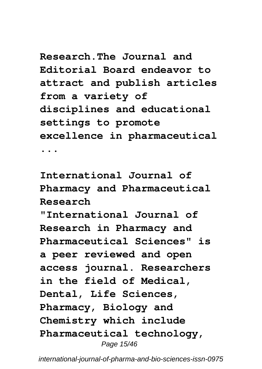**Research.The Journal and Editorial Board endeavor to attract and publish articles from a variety of disciplines and educational settings to promote excellence in pharmaceutical ...**

**International Journal of Pharmacy and Pharmaceutical Research**

**"International Journal of Research in Pharmacy and Pharmaceutical Sciences" is a peer reviewed and open access journal. Researchers in the field of Medical, Dental, Life Sciences, Pharmacy, Biology and Chemistry which include Pharmaceutical technology,** Page 15/46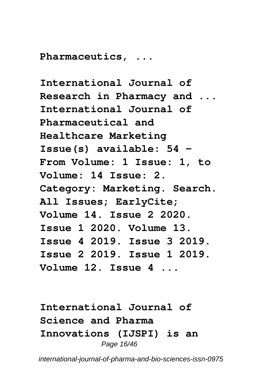**Pharmaceutics, ...**

**International Journal of Research in Pharmacy and ... International Journal of Pharmaceutical and Healthcare Marketing Issue(s) available: 54 – From Volume: 1 Issue: 1, to Volume: 14 Issue: 2. Category: Marketing. Search. All Issues; EarlyCite; Volume 14. Issue 2 2020. Issue 1 2020. Volume 13. Issue 4 2019. Issue 3 2019. Issue 2 2019. Issue 1 2019. Volume 12. Issue 4 ...**

**International Journal of Science and Pharma Innovations (IJSPI) is an** Page 16/46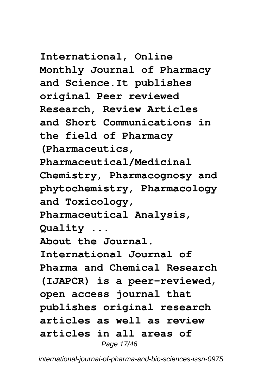**International, Online Monthly Journal of Pharmacy and Science.It publishes original Peer reviewed Research, Review Articles and Short Communications in the field of Pharmacy (Pharmaceutics, Pharmaceutical/Medicinal Chemistry, Pharmacognosy and phytochemistry, Pharmacology and Toxicology, Pharmaceutical Analysis, Quality ... About the Journal. International Journal of Pharma and Chemical Research (IJAPCR) is a peer-reviewed, open access journal that publishes original research articles as well as review articles in all areas of**

Page 17/46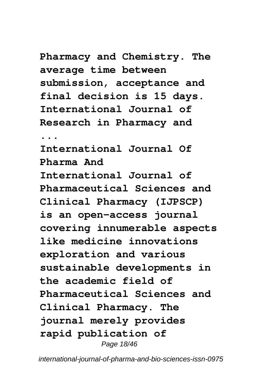**Pharmacy and Chemistry. The average time between submission, acceptance and final decision is 15 days. International Journal of Research in Pharmacy and ... International Journal Of Pharma And International Journal of Pharmaceutical Sciences and Clinical Pharmacy (IJPSCP) is an open-access journal covering innumerable aspects like medicine innovations exploration and various sustainable developments in the academic field of Pharmaceutical Sciences and Clinical Pharmacy. The journal merely provides**

**rapid publication of**

Page 18/46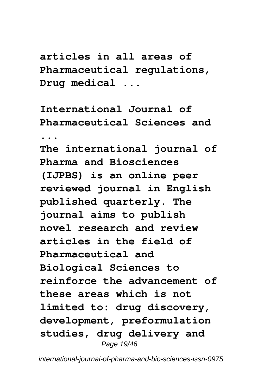**articles in all areas of Pharmaceutical regulations, Drug medical ...**

**International Journal of Pharmaceutical Sciences and ... The international journal of Pharma and Biosciences**

**(IJPBS) is an online peer reviewed journal in English published quarterly. The journal aims to publish novel research and review articles in the field of Pharmaceutical and Biological Sciences to reinforce the advancement of these areas which is not limited to: drug discovery, development, preformulation studies, drug delivery and** Page 19/46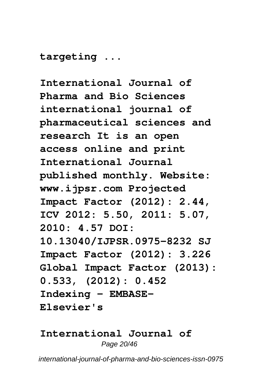**targeting ...**

**International Journal of Pharma and Bio Sciences international journal of pharmaceutical sciences and research It is an open access online and print International Journal published monthly. Website: www.ijpsr.com Projected Impact Factor (2012): 2.44, ICV 2012: 5.50, 2011: 5.07, 2010: 4.57 DOI: 10.13040/IJPSR.0975-8232 SJ Impact Factor (2012): 3.226 Global Impact Factor (2013): 0.533, (2012): 0.452 Indexing - EMBASE-Elsevier's**

#### **International Journal of** Page 20/46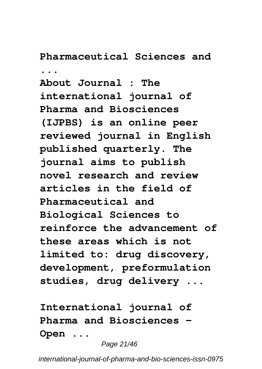### **Pharmaceutical Sciences and**

**...**

**About Journal : The international journal of Pharma and Biosciences (IJPBS) is an online peer reviewed journal in English published quarterly. The journal aims to publish novel research and review articles in the field of Pharmaceutical and Biological Sciences to reinforce the advancement of these areas which is not limited to: drug discovery, development, preformulation studies, drug delivery ...**

**International journal of Pharma and Biosciences - Open ...**

Page 21/46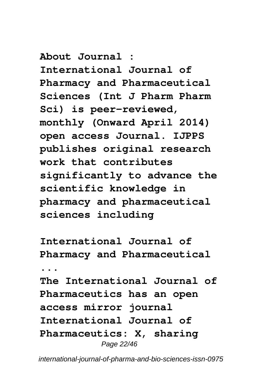**About Journal : International Journal of Pharmacy and Pharmaceutical Sciences (Int J Pharm Pharm Sci) is peer-reviewed, monthly (Onward April 2014) open access Journal. IJPPS publishes original research work that contributes significantly to advance the scientific knowledge in pharmacy and pharmaceutical sciences including**

**International Journal of Pharmacy and Pharmaceutical ... The International Journal of Pharmaceutics has an open access mirror journal International Journal of Pharmaceutics: X, sharing** Page 22/46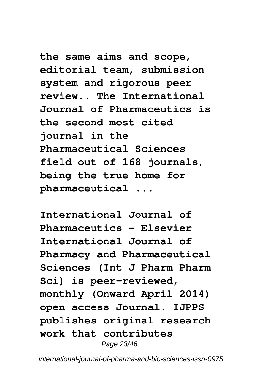**the same aims and scope, editorial team, submission system and rigorous peer review.. The International Journal of Pharmaceutics is the second most cited journal in the Pharmaceutical Sciences field out of 168 journals, being the true home for pharmaceutical ...**

**International Journal of Pharmaceutics - Elsevier International Journal of Pharmacy and Pharmaceutical Sciences (Int J Pharm Pharm Sci) is peer-reviewed, monthly (Onward April 2014) open access Journal. IJPPS publishes original research work that contributes** Page 23/46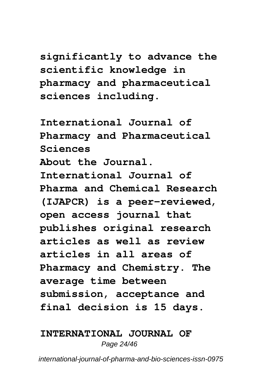**significantly to advance the scientific knowledge in pharmacy and pharmaceutical sciences including.**

**International Journal of Pharmacy and Pharmaceutical Sciences About the Journal. International Journal of Pharma and Chemical Research (IJAPCR) is a peer-reviewed, open access journal that publishes original research articles as well as review articles in all areas of Pharmacy and Chemistry. The average time between submission, acceptance and final decision is 15 days.**

#### **INTERNATIONAL JOURNAL OF** Page 24/46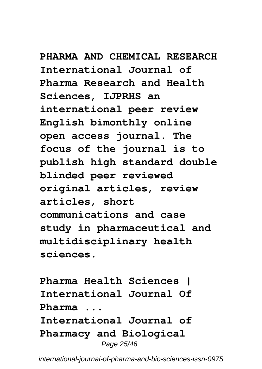**PHARMA AND CHEMICAL RESEARCH International Journal of Pharma Research and Health Sciences, IJPRHS an international peer review English bimonthly online open access journal. The focus of the journal is to publish high standard double blinded peer reviewed original articles, review articles, short communications and case study in pharmaceutical and multidisciplinary health sciences.**

**Pharma Health Sciences | International Journal Of Pharma ... International Journal of Pharmacy and Biological** Page 25/46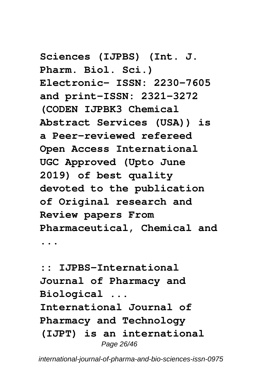**Sciences (IJPBS) (Int. J. Pharm. Biol. Sci.) Electronic- ISSN: 2230-7605 and print-ISSN: 2321-3272 (CODEN IJPBK3 Chemical Abstract Services (USA)) is a Peer-reviewed refereed Open Access International UGC Approved (Upto June 2019) of best quality devoted to the publication of Original research and Review papers From Pharmaceutical, Chemical and ...**

**:: IJPBS-International Journal of Pharmacy and Biological ... International Journal of Pharmacy and Technology (IJPT) is an international** Page 26/46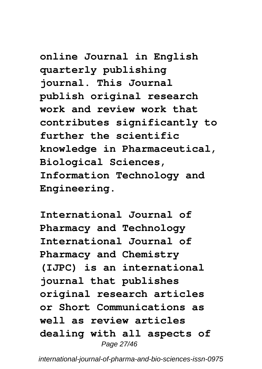**online Journal in English quarterly publishing journal. This Journal publish original research work and review work that contributes significantly to further the scientific knowledge in Pharmaceutical, Biological Sciences, Information Technology and Engineering.**

**International Journal of Pharmacy and Technology International Journal of Pharmacy and Chemistry (IJPC) is an international journal that publishes original research articles or Short Communications as well as review articles dealing with all aspects of** Page 27/46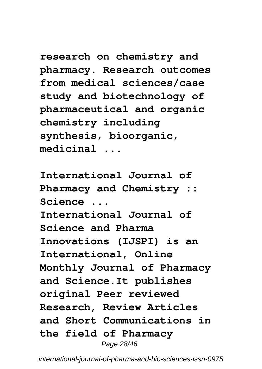**research on chemistry and pharmacy. Research outcomes from medical sciences/case study and biotechnology of pharmaceutical and organic chemistry including synthesis, bioorganic, medicinal ...**

**International Journal of Pharmacy and Chemistry :: Science ... International Journal of Science and Pharma Innovations (IJSPI) is an International, Online Monthly Journal of Pharmacy and Science.It publishes original Peer reviewed Research, Review Articles and Short Communications in the field of Pharmacy** Page 28/46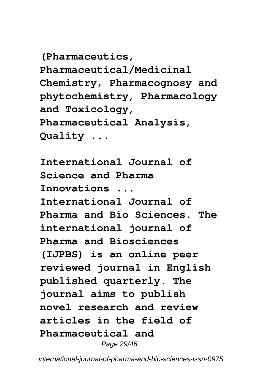**(Pharmaceutics, Pharmaceutical/Medicinal Chemistry, Pharmacognosy and phytochemistry, Pharmacology and Toxicology, Pharmaceutical Analysis, Quality ...**

**International Journal of Science and Pharma Innovations ... International Journal of Pharma and Bio Sciences. The international journal of Pharma and Biosciences (IJPBS) is an online peer reviewed journal in English published quarterly. The journal aims to publish novel research and review articles in the field of Pharmaceutical and** Page 29/46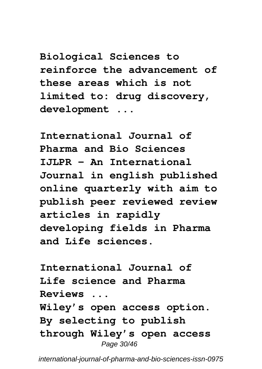**Biological Sciences to reinforce the advancement of these areas which is not limited to: drug discovery, development ...**

**International Journal of Pharma and Bio Sciences IJLPR - An International Journal in english published online quarterly with aim to publish peer reviewed review articles in rapidly developing fields in Pharma and Life sciences.**

**International Journal of Life science and Pharma Reviews ... Wiley's open access option. By selecting to publish through Wiley's open access** Page 30/46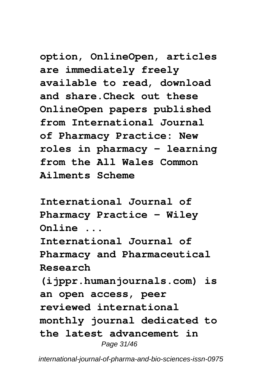**option, OnlineOpen, articles are immediately freely available to read, download and share.Check out these OnlineOpen papers published from International Journal of Pharmacy Practice: New roles in pharmacy – learning from the All Wales Common Ailments Scheme**

**International Journal of Pharmacy Practice - Wiley Online ... International Journal of Pharmacy and Pharmaceutical Research (ijppr.humanjournals.com) is an open access, peer reviewed international monthly journal dedicated to the latest advancement in** Page 31/46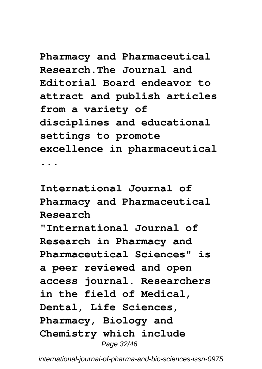**Pharmacy and Pharmaceutical Research.The Journal and Editorial Board endeavor to attract and publish articles from a variety of disciplines and educational settings to promote excellence in pharmaceutical ...**

**International Journal of Pharmacy and Pharmaceutical Research "International Journal of Research in Pharmacy and Pharmaceutical Sciences" is a peer reviewed and open access journal. Researchers in the field of Medical, Dental, Life Sciences, Pharmacy, Biology and Chemistry which include** Page 32/46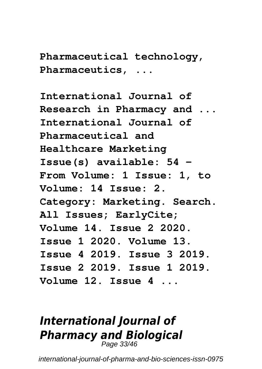**Pharmaceutical technology, Pharmaceutics, ...**

**International Journal of Research in Pharmacy and ... International Journal of Pharmaceutical and Healthcare Marketing Issue(s) available: 54 – From Volume: 1 Issue: 1, to Volume: 14 Issue: 2. Category: Marketing. Search. All Issues; EarlyCite; Volume 14. Issue 2 2020. Issue 1 2020. Volume 13. Issue 4 2019. Issue 3 2019. Issue 2 2019. Issue 1 2019. Volume 12. Issue 4 ...**

## *International Journal of Pharmacy and Biological* Page 33/46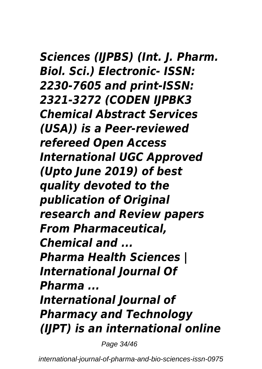*Sciences (IJPBS) (Int. J. Pharm. Biol. Sci.) Electronic- ISSN: 2230-7605 and print-ISSN: 2321-3272 (CODEN IJPBK3 Chemical Abstract Services (USA)) is a Peer-reviewed refereed Open Access International UGC Approved (Upto June 2019) of best quality devoted to the publication of Original research and Review papers From Pharmaceutical, Chemical and ... Pharma Health Sciences | International Journal Of Pharma ... International Journal of Pharmacy and Technology (IJPT) is an international online*

Page 34/46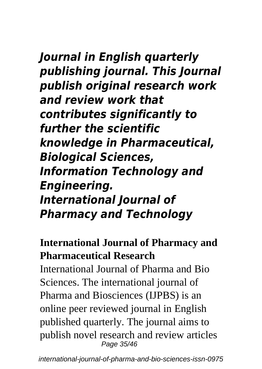### *Journal in English quarterly publishing journal. This Journal publish original research work and review work that contributes significantly to further the scientific knowledge in Pharmaceutical, Biological Sciences, Information Technology and Engineering.*

### *International Journal of Pharmacy and Technology*

### **International Journal of Pharmacy and Pharmaceutical Research**

International Journal of Pharma and Bio Sciences. The international journal of Pharma and Biosciences (IJPBS) is an online peer reviewed journal in English published quarterly. The journal aims to publish novel research and review articles Page 35/46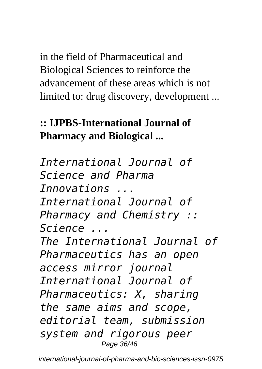in the field of Pharmaceutical and Biological Sciences to reinforce the advancement of these areas which is not limited to: drug discovery, development ...

### **:: IJPBS-International Journal of Pharmacy and Biological ...**

*International Journal of Science and Pharma Innovations ... International Journal of Pharmacy and Chemistry :: Science ... The International Journal of Pharmaceutics has an open access mirror journal International Journal of Pharmaceutics: X, sharing the same aims and scope, editorial team, submission system and rigorous peer* Page 36/46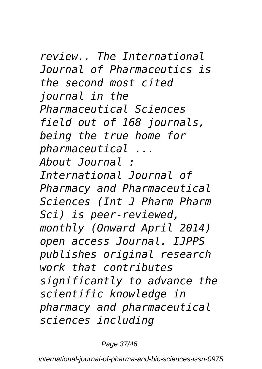*review.. The International Journal of Pharmaceutics is the second most cited journal in the Pharmaceutical Sciences field out of 168 journals, being the true home for pharmaceutical ... About Journal : International Journal of Pharmacy and Pharmaceutical Sciences (Int J Pharm Pharm Sci) is peer-reviewed, monthly (Onward April 2014) open access Journal. IJPPS publishes original research work that contributes significantly to advance the scientific knowledge in pharmacy and pharmaceutical sciences including*

Page 37/46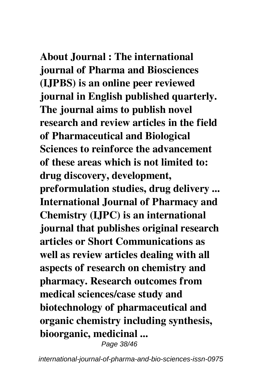**About Journal : The international journal of Pharma and Biosciences (IJPBS) is an online peer reviewed journal in English published quarterly. The journal aims to publish novel research and review articles in the field of Pharmaceutical and Biological Sciences to reinforce the advancement of these areas which is not limited to: drug discovery, development, preformulation studies, drug delivery ... International Journal of Pharmacy and Chemistry (IJPC) is an international journal that publishes original research articles or Short Communications as well as review articles dealing with all aspects of research on chemistry and pharmacy. Research outcomes from medical sciences/case study and biotechnology of pharmaceutical and organic chemistry including synthesis, bioorganic, medicinal ...**

Page 38/46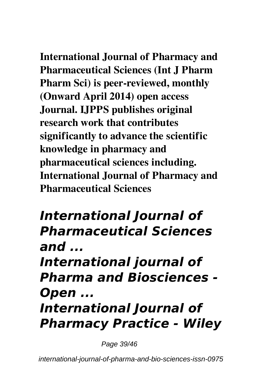**International Journal of Pharmacy and Pharmaceutical Sciences (Int J Pharm Pharm Sci) is peer-reviewed, monthly (Onward April 2014) open access Journal. IJPPS publishes original research work that contributes significantly to advance the scientific knowledge in pharmacy and pharmaceutical sciences including. International Journal of Pharmacy and Pharmaceutical Sciences**

## *International Journal of Pharmaceutical Sciences and ... International journal of Pharma and Biosciences - Open ... International Journal of Pharmacy Practice - Wiley*

Page 39/46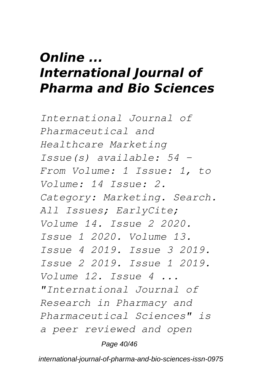### *Online ... International Journal of Pharma and Bio Sciences*

*International Journal of Pharmaceutical and Healthcare Marketing Issue(s) available: 54 – From Volume: 1 Issue: 1, to Volume: 14 Issue: 2. Category: Marketing. Search. All Issues; EarlyCite; Volume 14. Issue 2 2020. Issue 1 2020. Volume 13. Issue 4 2019. Issue 3 2019. Issue 2 2019. Issue 1 2019. Volume 12. Issue 4 ... "International Journal of Research in Pharmacy and Pharmaceutical Sciences" is a peer reviewed and open*

#### Page 40/46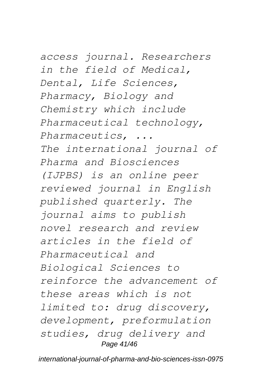*access journal. Researchers in the field of Medical, Dental, Life Sciences, Pharmacy, Biology and Chemistry which include Pharmaceutical technology, Pharmaceutics, ... The international journal of Pharma and Biosciences (IJPBS) is an online peer reviewed journal in English published quarterly. The journal aims to publish novel research and review articles in the field of Pharmaceutical and Biological Sciences to reinforce the advancement of these areas which is not limited to: drug discovery, development, preformulation studies, drug delivery and*

#### Page 41/46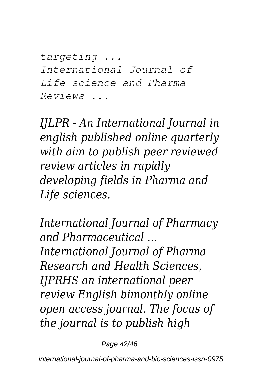*targeting ... International Journal of Life science and Pharma Reviews ...*

*IJLPR - An International Journal in english published online quarterly with aim to publish peer reviewed review articles in rapidly developing fields in Pharma and Life sciences.*

*International Journal of Pharmacy and Pharmaceutical ... International Journal of Pharma Research and Health Sciences, IJPRHS an international peer review English bimonthly online open access journal. The focus of the journal is to publish high*

Page 42/46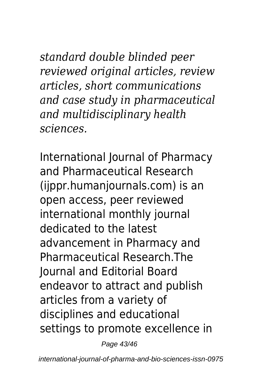*standard double blinded peer reviewed original articles, review articles, short communications and case study in pharmaceutical and multidisciplinary health sciences.*

International Journal of Pharmacy and Pharmaceutical Research (ijppr.humanjournals.com) is an open access, peer reviewed international monthly journal dedicated to the latest advancement in Pharmacy and Pharmaceutical Research.The Journal and Editorial Board endeavor to attract and publish articles from a variety of disciplines and educational settings to promote excellence in

Page 43/46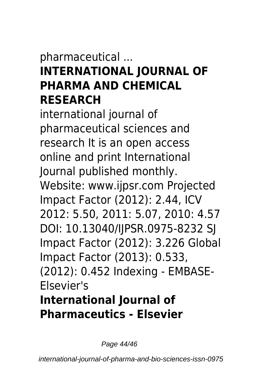## pharmaceutical ...

### **INTERNATIONAL JOURNAL OF PHARMA AND CHEMICAL RESEARCH**

international journal of pharmaceutical sciences and research It is an open access online and print International Journal published monthly. Website: www.ijpsr.com Projected Impact Factor (2012): 2.44, ICV 2012: 5.50, 2011: 5.07, 2010: 4.57 DOI: 10.13040/IJPSR.0975-8232 SJ Impact Factor (2012): 3.226 Global Impact Factor (2013): 0.533, (2012): 0.452 Indexing - EMBASE-Elsevier's **International Journal of Pharmaceutics - Elsevier**

Page 44/46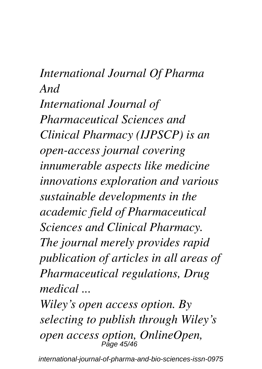## *International Journal Of Pharma And International Journal of Pharmaceutical Sciences and Clinical Pharmacy (IJPSCP) is an open-access journal covering innumerable aspects like medicine innovations exploration and various sustainable developments in the academic field of Pharmaceutical Sciences and Clinical Pharmacy. The journal merely provides rapid publication of articles in all areas of Pharmaceutical regulations, Drug medical ...*

*Wiley's open access option. By selecting to publish through Wiley's open access option, OnlineOpen,* Page 45/46